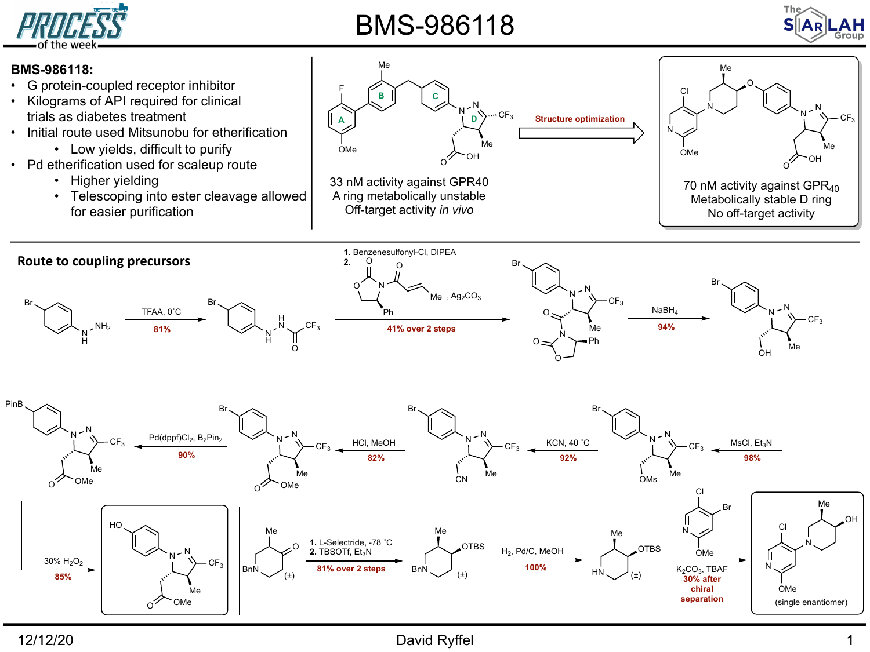

## BMS-986118